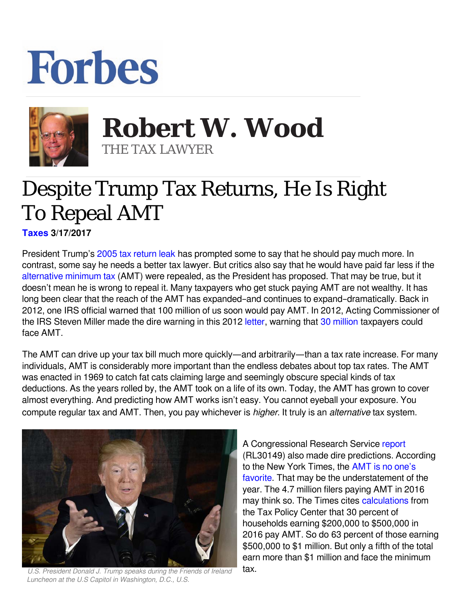## Forbes



**Robert W. Wood Robert W. Wood** THE TAX LAWYER THE TAX LAWYER

## Despite Trump Tax Returns, He Is Right To Repeal AMT

**[Taxes](https://www.forbes.com/taxes) 3/17/2017** 

President Trump's [2005 tax return leak](http://nymag.com/daily/intelligencer/2017/03/trumps-2005-tax-return-shows-he-paid-usd38-million-in-taxes-on-usd150-million-income.html) has prompted some to say that he should pay much more. In contrast, some say he needs a better tax lawyer. But critics also say that he would have paid far less if the [alternative minimum tax](https://www.irs.gov/taxtopics/tc556.html) (AMT) were repealed, as the President has proposed. That may be true, but it doesn't mean he is wrong to repeal it. Many taxpayers who get stuck paying AMT are not wealthy. It has long been clear that the reach of the AMT has expanded–and continues to expand–dramatically. Back in 2012, one IRS official warned that 100 million of us soon would pay AMT. In 2012, Acting Commissioner of the IRS Steven Miller made the dire warning in this 2012 letter, warning that 30 million taxpayers could face AMT.

The AMT can drive up your tax bill much more quickly—and arbitrarily—than a tax rate increase. For many individuals, AMT is considerably more important than the endless debates about top tax rates. The AMT was enacted in 1969 to catch fat cats claiming large and seemingly obscure special kinds of tax deductions. As the years rolled by, the AMT took on a life of its own. Today, the AMT has grown to cover almost everything. And predicting how AMT works isn't easy. You cannot eyeball your exposure. You compute regular tax and AMT. Then, you pay whichever is *higher*. It truly is an *alternative* tax system.



*U.S. President Donald J. Trump speaks during the Friends of Ireland Luncheon at the U.S Capitol in Washington, D.C., U.S.*

A Congressional Research Service [report](http://www.fas.org/sgp/crs/misc/RL30149.pdf) (RL30149) also made dire predictions. According to the New York Times, the [AMT is no one's](https://www.nytimes.com/2017/03/15/business/economy/trump-alternative-minimum-tax.html) [favorite.](https://www.nytimes.com/2017/03/15/business/economy/trump-alternative-minimum-tax.html) That may be the understatement of the year. The 4.7 million filers paying AMT in 2016 may think so. The Times cites [calculations](http://www.taxpolicycenter.org/model-estimates/baseline-alternative-minimum-tax-amt-tables-oct-2016/t16-0237-aggregate-amt) from the Tax Policy Center that 30 percent of households earning \$200,000 to \$500,000 in 2016 pay AMT. So do 63 percent of those earning \$500,000 to \$1 million. But only a fifth of the total earn more than \$1 million and face the minimum tax.